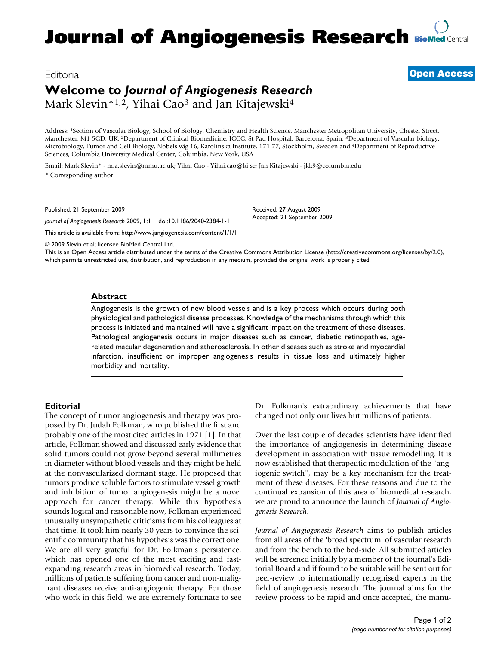# **Journal of Angiogenesis Research [BioMed](http://www.biomedcentral.com/) Central**

## Editorial **[Open Access](http://www.biomedcentral.com/info/about/charter/) Welcome to** *Journal of Angiogenesis Research* Mark Slevin<sup>\*1,2</sup>, Yihai Cao<sup>3</sup> and Jan Kitajewski<sup>4</sup>

Address: 1Section of Vascular Biology, School of Biology, Chemistry and Health Science, Manchester Metropolitan University, Chester Street, Manchester, M1 5GD, UK, 2Department of Clinical Biomedicine, ICCC, St Pau Hospital, Barcelona, Spain, 3Department of Vascular biology, Microbiology, Tumor and Cell Biology, Nobels väg 16, Karolinska Institute, 171 77, Stockholm, Sweden and 4Department of Reproductive Sciences, Columbia University Medical Center, Columbia, New York, USA

Email: Mark Slevin\* - m.a.slevin@mmu.ac.uk; Yihai Cao - Yihai.cao@ki.se; Jan Kitajewski - jkk9@columbia.edu \* Corresponding author

Published: 21 September 2009

*Journal of Angiogenesis Research* 2009, **1**:1 doi:10.1186/2040-2384-1-1

[This article is available from: http://www.jangiogenesis.com/content/1/1/1](http://www.jangiogenesis.com/content/1/1/1)

Received: 27 August 2009 Accepted: 21 September 2009

© 2009 Slevin et al; licensee BioMed Central Ltd.

This is an Open Access article distributed under the terms of the Creative Commons Attribution License [\(http://creativecommons.org/licenses/by/2.0\)](http://creativecommons.org/licenses/by/2.0), which permits unrestricted use, distribution, and reproduction in any medium, provided the original work is properly cited.

#### **Abstract**

Angiogenesis is the growth of new blood vessels and is a key process which occurs during both physiological and pathological disease processes. Knowledge of the mechanisms through which this process is initiated and maintained will have a significant impact on the treatment of these diseases. Pathological angiogenesis occurs in major diseases such as cancer, diabetic retinopathies, agerelated macular degeneration and atherosclerosis. In other diseases such as stroke and myocardial infarction, insufficient or improper angiogenesis results in tissue loss and ultimately higher morbidity and mortality.

### **Editorial**

The concept of tumor angiogenesis and therapy was proposed by Dr. Judah Folkman, who published the first and probably one of the most cited articles in 1971 [1]. In that article, Folkman showed and discussed early evidence that solid tumors could not grow beyond several millimetres in diameter without blood vessels and they might be held at the nonvascularized dormant stage. He proposed that tumors produce soluble factors to stimulate vessel growth and inhibition of tumor angiogenesis might be a novel approach for cancer therapy. While this hypothesis sounds logical and reasonable now, Folkman experienced unusually unsympathetic criticisms from his colleagues at that time. It took him nearly 30 years to convince the scientific community that his hypothesis was the correct one. We are all very grateful for Dr. Folkman's persistence, which has opened one of the most exciting and fastexpanding research areas in biomedical research. Today, millions of patients suffering from cancer and non-malignant diseases receive anti-angiogenic therapy. For those who work in this field, we are extremely fortunate to see Dr. Folkman's extraordinary achievements that have changed not only our lives but millions of patients.

Over the last couple of decades scientists have identified the importance of angiogenesis in determining disease development in association with tissue remodelling. It is now established that therapeutic modulation of the "angiogenic switch", may be a key mechanism for the treatment of these diseases. For these reasons and due to the continual expansion of this area of biomedical research, we are proud to announce the launch of *Journal of Angiogenesis Research*.

*Journal of Angiogenesis Research* aims to publish articles from all areas of the 'broad spectrum' of vascular research and from the bench to the bed-side. All submitted articles will be screened initially by a member of the journal's Editorial Board and if found to be suitable will be sent out for peer-review to internationally recognised experts in the field of angiogenesis research. The journal aims for the review process to be rapid and once accepted, the manu-